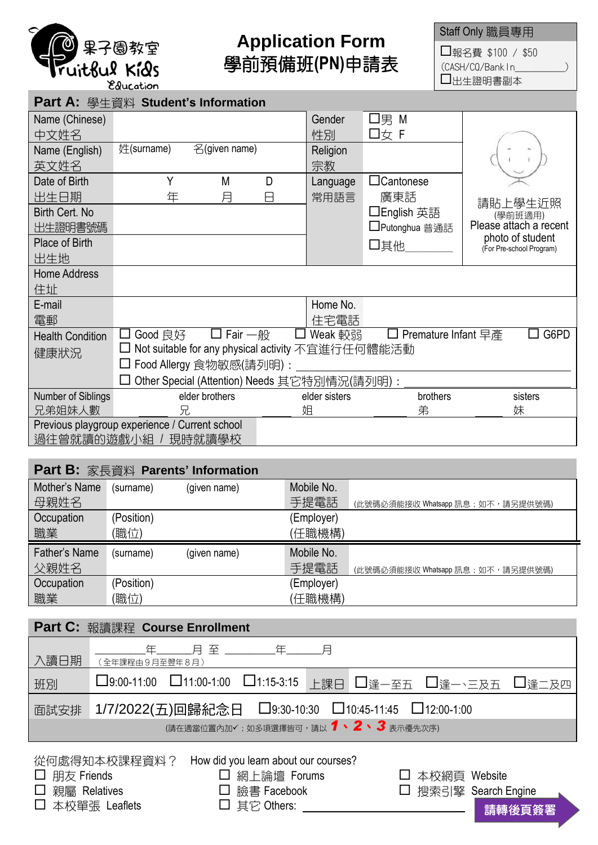

## **Application Form** 學前預備班**(PN)**申請表

Staff Only 職員專用

□報名費 \$100 / \$50 (CASH/CQ/BankIn\_\_\_\_\_\_\_\_\_\_) 出生證明書副本

| Part A: 學生資料 Student's Information             |                                                     |                       |   |               |                     |                                              |  |
|------------------------------------------------|-----------------------------------------------------|-----------------------|---|---------------|---------------------|----------------------------------------------|--|
| Name (Chinese)                                 |                                                     |                       |   | Gender        | 口男 M                |                                              |  |
| 中文姓名                                           |                                                     |                       |   | 性別            | 口女 F                |                                              |  |
| Name (English)                                 | 姓(surname)                                          | 名(given name)         |   | Religion      |                     |                                              |  |
| 英文姓名                                           |                                                     |                       |   | 宗教            |                     |                                              |  |
| Date of Birth                                  | Υ                                                   | M                     | D | Language      | $\Box$ Cantonese    |                                              |  |
| 出生日期                                           | 年                                                   | 月                     | A | 常用語言          | 廣東話                 | 請貼上學生沂照                                      |  |
| Birth Cert. No                                 |                                                     |                       |   |               | □English 英語         | (學前班適用)                                      |  |
| 出生證明書號碼                                        |                                                     |                       |   |               | □Putonghua 普通話      | Please attach a recent                       |  |
| Place of Birth                                 |                                                     |                       |   |               | 口其他                 | photo of student<br>(For Pre-school Program) |  |
| 出生地                                            |                                                     |                       |   |               |                     |                                              |  |
| <b>Home Address</b>                            |                                                     |                       |   |               |                     |                                              |  |
| 住址                                             |                                                     |                       |   |               |                     |                                              |  |
| E-mail                                         |                                                     |                       |   | Home No.      |                     |                                              |  |
| 電郵                                             |                                                     |                       |   | 住宅電話          |                     |                                              |  |
| <b>Health Condition</b>                        | Good 良好<br>ΙI                                       | $\square$ Fair $-\Re$ |   | □ Weak 較弱     | Premature Infant 早產 | G6PD                                         |  |
| 健康狀況                                           | □ Not suitable for any physical activity 不宜進行任何體能活動 |                       |   |               |                     |                                              |  |
|                                                | □ Food Allergy 食物敏感(請列明) :                          |                       |   |               |                     |                                              |  |
|                                                | Other Special (Attention) Needs 其它特別情況(請列明):        |                       |   |               |                     |                                              |  |
| Number of Siblings                             |                                                     | elder brothers        |   | elder sisters | brothers            | sisters                                      |  |
| 兄弟姐妹人數                                         | 兄                                                   |                       | 姐 | 弟             | 妹                   |                                              |  |
| Previous playgroup experience / Current school |                                                     |                       |   |               |                     |                                              |  |
| 過往曾就讀的遊戲小組 / 現時就讀學校                            |                                                     |                       |   |               |                     |                                              |  |

## **Part B:** 家長資料 **Parents' Information**

| Mother's Name | (surname)  | (given name) | Mobile No. |                                   |
|---------------|------------|--------------|------------|-----------------------------------|
| 母親姓名          |            |              | 手提電話       | (此號碼必須能接收 Whatsapp 訊息; 如不,請另提供號碼) |
| Occupation    | (Position) |              | (Employer) |                                   |
| 職業            | [職位)       |              | (任職機構)     |                                   |
|               |            |              |            |                                   |
| Father's Name | (surname)  | (given name) | Mobile No. |                                   |
| 父親姓名          |            |              | 手提電話       | (此號碼必須能接收 Whatsapp 訊息; 如不,請另提供號碼) |
| Occupation    | (Position) |              | (Employer) |                                   |

|                                                   | Part C: 報讀課程 Course Enrollment                             |  |  |  |
|---------------------------------------------------|------------------------------------------------------------|--|--|--|
| 入讀日期                                              | (全年課程由9月至翌年8月)                                             |  |  |  |
| 班別                                                | □9:00-11:00 □11:00-1:00 □1:15-3:15 上課日 □逢一至五 □逢一、三及五 □逢二及四 |  |  |  |
| 面試安排                                              | 1/7/2022(五)回歸紀念日 □9:30-10:30 □10:45-11:45 □12:00-1:00      |  |  |  |
| (請在適當位置內加√;如多項選擇皆可,請以 1、2、3表示優先次序)                |                                                            |  |  |  |
| 從何處得知木校課程資料? How did you learn about our courses? |                                                            |  |  |  |

從何處得知本仪課程負料: □ 朋友 Friends □ 網上論壇 Forums □ 本校網頁 Website 親屬 Relatives 臉書 Facebook 搜索引擎 Search Engine □ 本校單張 Leaflets □ 其它 Others: \_\_\_\_\_\_\_\_\_\_\_\_\_\_\_\_\_\_\_\_\_\_\_\_\_\_\_\_\_\_\_\_\_ 請轉後頁簽署